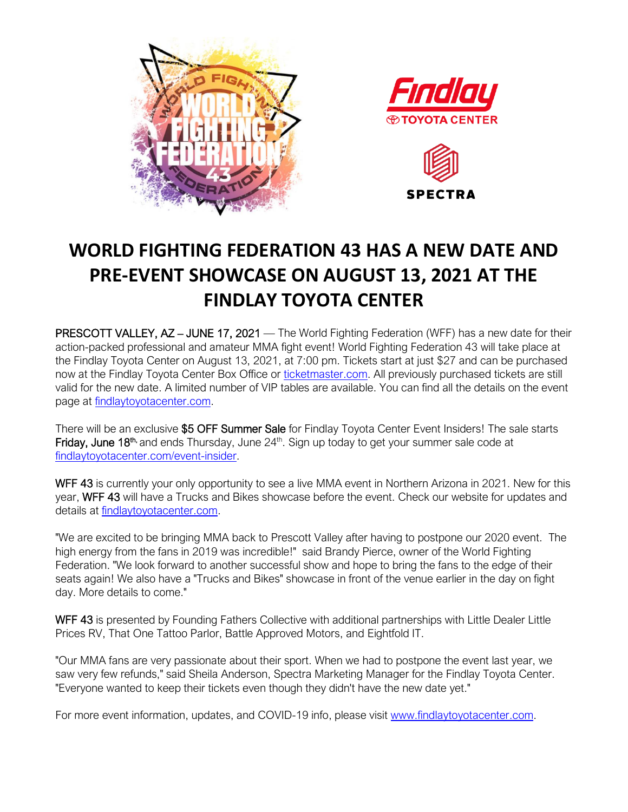





## **WORLD FIGHTING FEDERATION 43 HAS A NEW DATE AND PRE-EVENT SHOWCASE ON AUGUST 13, 2021 AT THE FINDLAY TOYOTA CENTER**

PRESCOTT VALLEY, AZ - JUNE 17, 2021 — The World Fighting Federation (WFF) has a new date for their action-packed professional and amateur MMA fight event! World Fighting Federation 43 will take place at the Findlay Toyota Center on August 13, 2021, at 7:00 pm. Tickets start at just \$27 and can be purchased now at the Findlay Toyota Center Box Office or [ticketmaster.com.](https://www.ticketmaster.com/event/19005826A92D28B3) All previously purchased tickets are still valid for the new date. A limited number of VIP tables are available. You can find all the details on the event page at [findlaytoyotacenter.com.](http://www.findlaytoyotacenter.com/events/world-fighting-federation-43)

There will be an exclusive \$5 OFF Summer Sale for Findlay Toyota Center Event Insiders! The sale starts Friday, June 18<sup>th,</sup> and ends Thursday, June  $24<sup>th</sup>$ . Sign up today to get your summer sale code at [findlaytoyotacenter.com/event-insider.](http://www.findlaytoyotacenter.com/event-insider)

WFF 43 is currently your only opportunity to see a live MMA event in Northern Arizona in 2021. New for this year, WFF 43 will have a Trucks and Bikes showcase before the event. Check our website for updates and details at [findlaytoyotacenter.com.](http://www.findlaytoyotacenter.com/)

"We are excited to be bringing MMA back to Prescott Valley after having to postpone our 2020 event. The high energy from the fans in 2019 was incredible!" said Brandy Pierce, owner of the World Fighting Federation. "We look forward to another successful show and hope to bring the fans to the edge of their seats again! We also have a "Trucks and Bikes" showcase in front of the venue earlier in the day on fight day. More details to come."

WFF 43 is presented by Founding Fathers Collective with additional partnerships with Little Dealer Little Prices RV, That One Tattoo Parlor, Battle Approved Motors, and Eightfold IT.

"Our MMA fans are very passionate about their sport. When we had to postpone the event last year, we saw very few refunds," said Sheila Anderson, Spectra Marketing Manager for the Findlay Toyota Center. "Everyone wanted to keep their tickets even though they didn't have the new date yet."

For more event information, updates, and COVID-19 info, please visit [www.findlaytoyotacenter.com.](http://www.findlaytoyotacenter.com/)